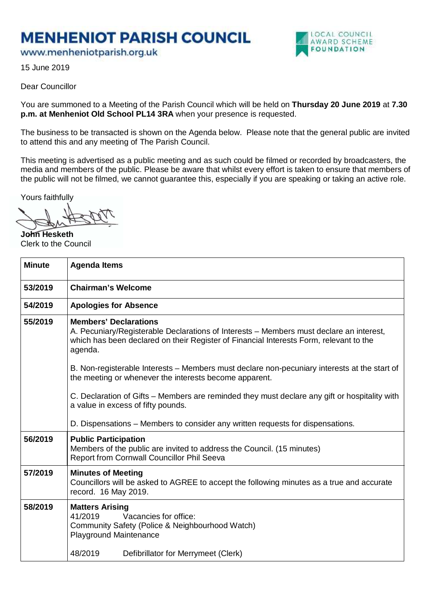## **MENHENIOT PARISH COUNCIL**

www.menheniotparish.org.uk



15 June 2019

## Dear Councillor

You are summoned to a Meeting of the Parish Council which will be held on **Thursday 20 June 2019** at **7.30 p.m. at Menheniot Old School PL14 3RA** when your presence is requested.

The business to be transacted is shown on the Agenda below. Please note that the general public are invited to attend this and any meeting of The Parish Council.

This meeting is advertised as a public meeting and as such could be filmed or recorded by broadcasters, the media and members of the public. Please be aware that whilst every effort is taken to ensure that members of the public will not be filmed, we cannot guarantee this, especially if you are speaking or taking an active role.

Yours faithfully

**John Hesketh**  Clerk to the Council

| <b>Minute</b> | <b>Agenda Items</b>                                                                                                                                                                                                          |  |  |
|---------------|------------------------------------------------------------------------------------------------------------------------------------------------------------------------------------------------------------------------------|--|--|
| 53/2019       | <b>Chairman's Welcome</b>                                                                                                                                                                                                    |  |  |
| 54/2019       | <b>Apologies for Absence</b>                                                                                                                                                                                                 |  |  |
| 55/2019       | <b>Members' Declarations</b><br>A. Pecuniary/Registerable Declarations of Interests – Members must declare an interest,<br>which has been declared on their Register of Financial Interests Form, relevant to the<br>agenda. |  |  |
|               | B. Non-registerable Interests – Members must declare non-pecuniary interests at the start of<br>the meeting or whenever the interests become apparent.                                                                       |  |  |
|               | C. Declaration of Gifts – Members are reminded they must declare any gift or hospitality with<br>a value in excess of fifty pounds.                                                                                          |  |  |
|               | D. Dispensations – Members to consider any written requests for dispensations.                                                                                                                                               |  |  |
| 56/2019       | <b>Public Participation</b><br>Members of the public are invited to address the Council. (15 minutes)<br>Report from Cornwall Councillor Phil Seeva                                                                          |  |  |
| 57/2019       | <b>Minutes of Meeting</b><br>Councillors will be asked to AGREE to accept the following minutes as a true and accurate<br>record. 16 May 2019.                                                                               |  |  |
| 58/2019       | <b>Matters Arising</b><br>41/2019<br>Vacancies for office:<br>Community Safety (Police & Neighbourhood Watch)<br><b>Playground Maintenance</b>                                                                               |  |  |
|               | 48/2019<br>Defibrillator for Merrymeet (Clerk)                                                                                                                                                                               |  |  |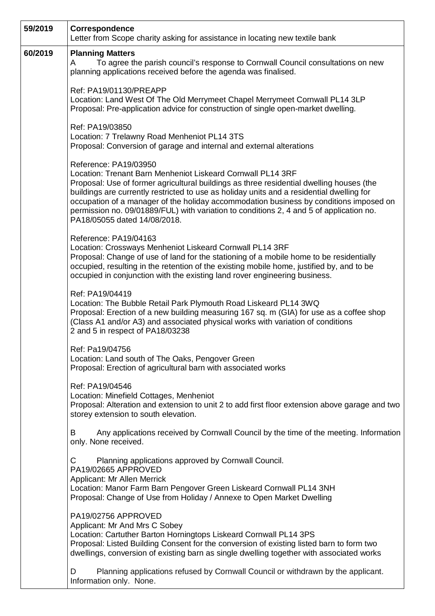| 59/2019 | Correspondence<br>Letter from Scope charity asking for assistance in locating new textile bank                                                                                                                                                                                                                                                                                                                                                                                                     |
|---------|----------------------------------------------------------------------------------------------------------------------------------------------------------------------------------------------------------------------------------------------------------------------------------------------------------------------------------------------------------------------------------------------------------------------------------------------------------------------------------------------------|
| 60/2019 | <b>Planning Matters</b><br>To agree the parish council's response to Cornwall Council consultations on new<br>A<br>planning applications received before the agenda was finalised.                                                                                                                                                                                                                                                                                                                 |
|         | Ref: PA19/01130/PREAPP<br>Location: Land West Of The Old Merrymeet Chapel Merrymeet Cornwall PL14 3LP<br>Proposal: Pre-application advice for construction of single open-market dwelling.                                                                                                                                                                                                                                                                                                         |
|         | Ref: PA19/03850<br>Location: 7 Trelawny Road Menheniot PL14 3TS<br>Proposal: Conversion of garage and internal and external alterations                                                                                                                                                                                                                                                                                                                                                            |
|         | Reference: PA19/03950<br>Location: Trenant Barn Menheniot Liskeard Cornwall PL14 3RF<br>Proposal: Use of former agricultural buildings as three residential dwelling houses (the<br>buildings are currently restricted to use as holiday units and a residential dwelling for<br>occupation of a manager of the holiday accommodation business by conditions imposed on<br>permission no. 09/01889/FUL) with variation to conditions 2, 4 and 5 of application no.<br>PA18/05055 dated 14/08/2018. |
|         | Reference: PA19/04163<br>Location: Crossways Menheniot Liskeard Cornwall PL14 3RF<br>Proposal: Change of use of land for the stationing of a mobile home to be residentially<br>occupied, resulting in the retention of the existing mobile home, justified by, and to be<br>occupied in conjunction with the existing land rover engineering business.                                                                                                                                            |
|         | Ref: PA19/04419<br>Location: The Bubble Retail Park Plymouth Road Liskeard PL14 3WQ<br>Proposal: Erection of a new building measuring 167 sq. m (GIA) for use as a coffee shop<br>(Class A1 and/or A3) and associated physical works with variation of conditions<br>2 and 5 in respect of PA18/03238                                                                                                                                                                                              |
|         | Ref: Pa19/04756<br>Location: Land south of The Oaks, Pengover Green<br>Proposal: Erection of agricultural barn with associated works                                                                                                                                                                                                                                                                                                                                                               |
|         | Ref: PA19/04546<br>Location: Minefield Cottages, Menheniot<br>Proposal: Alteration and extension to unit 2 to add first floor extension above garage and two<br>storey extension to south elevation.                                                                                                                                                                                                                                                                                               |
|         | Any applications received by Cornwall Council by the time of the meeting. Information<br>В<br>only. None received.                                                                                                                                                                                                                                                                                                                                                                                 |
|         | Planning applications approved by Cornwall Council.<br>C<br>PA19/02665 APPROVED<br>Applicant: Mr Allen Merrick<br>Location: Manor Farm Barn Pengover Green Liskeard Cornwall PL14 3NH<br>Proposal: Change of Use from Holiday / Annexe to Open Market Dwelling                                                                                                                                                                                                                                     |
|         | PA19/02756 APPROVED<br>Applicant: Mr And Mrs C Sobey<br>Location: Cartuther Barton Horningtops Liskeard Cornwall PL14 3PS<br>Proposal: Listed Building Consent for the conversion of existing listed barn to form two<br>dwellings, conversion of existing barn as single dwelling together with associated works                                                                                                                                                                                  |
|         | Planning applications refused by Cornwall Council or withdrawn by the applicant.<br>D<br>Information only. None.                                                                                                                                                                                                                                                                                                                                                                                   |

」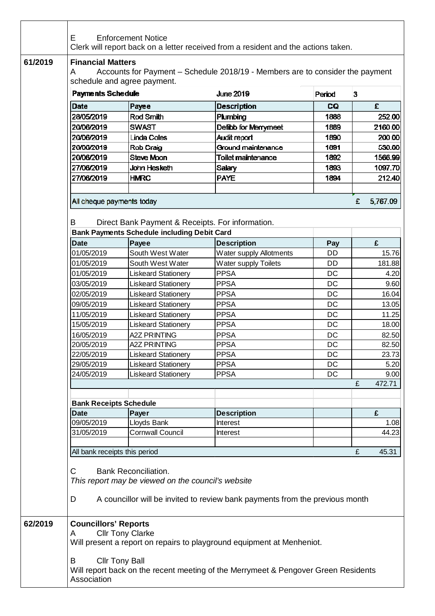| 61/2019<br>A                                     | <b>Financial Matters</b><br>Accounts for Payment - Schedule 2018/19 - Members are to consider the payment<br>schedule and agree payment.                                                           |                                                                        |           |   |               |  |  |  |
|--------------------------------------------------|----------------------------------------------------------------------------------------------------------------------------------------------------------------------------------------------------|------------------------------------------------------------------------|-----------|---|---------------|--|--|--|
| <b>Payments Schedule</b>                         |                                                                                                                                                                                                    | <b>June 2019</b>                                                       | Peniod    | 3 |               |  |  |  |
| Date                                             | Payee                                                                                                                                                                                              | <b>Description</b>                                                     | CQ        |   | £             |  |  |  |
| 28/05/2019                                       | Rod Smith                                                                                                                                                                                          | Plumbing                                                               | 1888      |   | 252.00        |  |  |  |
| 20/06/2019                                       | <b>SWAST</b>                                                                                                                                                                                       | Defibb for Merrymeet                                                   | 1889      |   | 2160.00       |  |  |  |
| 20/06/2019                                       | <b>Linda Coles</b>                                                                                                                                                                                 | <b>Audit report</b>                                                    | 1890      |   | 200.00        |  |  |  |
| 20/06/2019                                       | Rob Craig                                                                                                                                                                                          | Ground maintenance                                                     | 1891      |   | 530.00        |  |  |  |
| 20/06/2019                                       | Steve Moon                                                                                                                                                                                         | Toilet maintenance                                                     | 1892      |   | 1566.99       |  |  |  |
| 27/06/2019                                       | John Hesketh                                                                                                                                                                                       | Salary                                                                 | 1893      |   | 1097.70       |  |  |  |
| 27/06/2019                                       | <b>HMRC</b>                                                                                                                                                                                        | <b>PAYE</b>                                                            | 1894      |   | 212.40        |  |  |  |
|                                                  |                                                                                                                                                                                                    |                                                                        |           |   |               |  |  |  |
| All cheque payments today                        |                                                                                                                                                                                                    |                                                                        |           | £ | 5,767.09      |  |  |  |
| B                                                | Direct Bank Payment & Receipts. For information.<br><b>Bank Payments Schedule including Debit Card</b>                                                                                             |                                                                        |           |   |               |  |  |  |
| <b>Date</b>                                      | Payee                                                                                                                                                                                              | <b>Description</b>                                                     | Pay       |   | £             |  |  |  |
| 01/05/2019                                       | South West Water                                                                                                                                                                                   | Water supply Allotments                                                | <b>DD</b> |   | 15.76         |  |  |  |
| 01/05/2019                                       | South West Water                                                                                                                                                                                   | Water supply Toilets                                                   | <b>DD</b> |   | 181.88        |  |  |  |
| 01/05/2019                                       | <b>Liskeard Stationery</b>                                                                                                                                                                         | <b>PPSA</b>                                                            | DC        |   | 4.20          |  |  |  |
| 03/05/2019                                       | <b>Liskeard Stationery</b>                                                                                                                                                                         | <b>PPSA</b>                                                            | DC        |   | 9.60          |  |  |  |
| 02/05/2019                                       | <b>Liskeard Stationery</b>                                                                                                                                                                         | <b>PPSA</b>                                                            | DC        |   | 16.04         |  |  |  |
| 09/05/2019                                       | <b>Liskeard Stationery</b>                                                                                                                                                                         | <b>PPSA</b>                                                            | DC        |   | 13.05         |  |  |  |
| 11/05/2019                                       | <b>Liskeard Stationery</b>                                                                                                                                                                         | <b>PPSA</b>                                                            | DC        |   | 11.25         |  |  |  |
| 15/05/2019                                       | <b>Liskeard Stationery</b>                                                                                                                                                                         | <b>PPSA</b>                                                            | DC        |   | 18.00         |  |  |  |
| 16/05/2019                                       | <b>A2Z PRINTING</b>                                                                                                                                                                                | <b>PPSA</b>                                                            | DC        |   | 82.50         |  |  |  |
| 20/05/2019                                       | <b>A2Z PRINTING</b>                                                                                                                                                                                | <b>PPSA</b>                                                            | DC        |   | 82.50         |  |  |  |
| 22/05/2019<br>29/05/2019                         | Liskeard Stationery                                                                                                                                                                                | <b>PPSA</b><br><b>PPSA</b>                                             | DC<br>DC  |   | 23.73<br>5.20 |  |  |  |
| 24/05/2019                                       | <b>Liskeard Stationery</b><br><b>Liskeard Stationery</b>                                                                                                                                           | <b>PPSA</b>                                                            | DC        |   | 9.00          |  |  |  |
|                                                  |                                                                                                                                                                                                    |                                                                        |           | £ | 472.71        |  |  |  |
| <b>Bank Receipts Schedule</b>                    |                                                                                                                                                                                                    |                                                                        |           |   |               |  |  |  |
| <b>Date</b>                                      | Payer                                                                                                                                                                                              | <b>Description</b>                                                     |           |   | £             |  |  |  |
| 09/05/2019                                       | Lloyds Bank                                                                                                                                                                                        | Interest                                                               |           |   | 1.08          |  |  |  |
| 31/05/2019                                       | <b>Cornwall Council</b>                                                                                                                                                                            | <b>Interest</b>                                                        |           |   | 44.23         |  |  |  |
|                                                  |                                                                                                                                                                                                    |                                                                        |           | £ | 45.31         |  |  |  |
| C<br>D                                           | All bank receipts this period<br><b>Bank Reconciliation.</b><br>This report may be viewed on the council's website<br>A councillor will be invited to review bank payments from the previous month |                                                                        |           |   |               |  |  |  |
| 62/2019<br><b>Councillors' Reports</b><br>A<br>B | <b>Cllr Tony Clarke</b><br><b>Cllr Tony Ball</b>                                                                                                                                                   | Will present a report on repairs to playground equipment at Menheniot. |           |   |               |  |  |  |